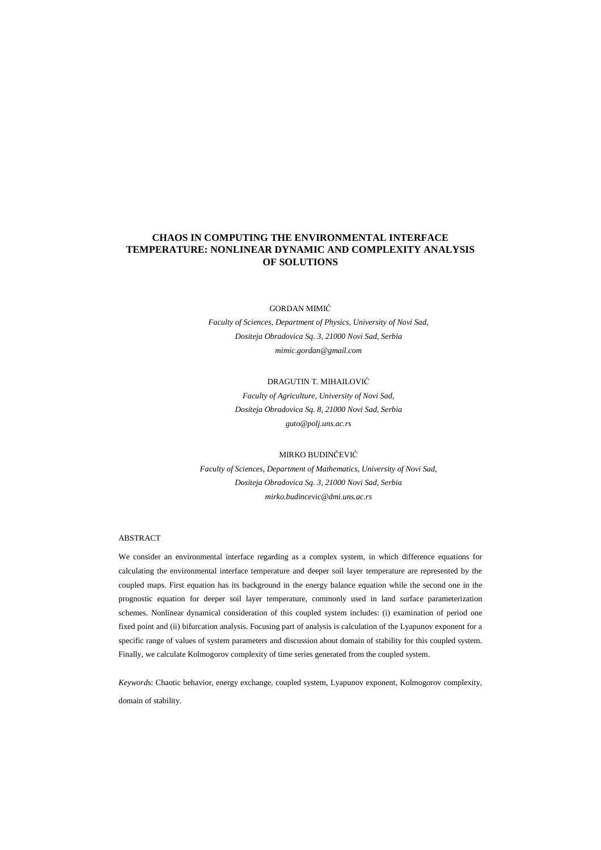# **CHAOS IN COMPUTING THE ENVIRONMENTAL INTERFACE TEMPERATURE: NONLINEAR DYNAMIC AND COMPLEXITY ANALYSIS OF SOLUTIONS**

#### GORDAN MIMIĆ

*Faculty of Sciences, Department of Physics, University of Novi Sad, Dositeja Obradovica Sq. 3, 21000 Novi Sad, Serbia mimic.gordan@gmail.com* 

## DRAGUTIN T. MIHAILOVIĆ

*Faculty of Agriculture, University of Novi Sad, Dositeja Obradovica Sq. 8, 21000 Novi Sad, Serbia guto@polj.uns.ac.rs* 

#### MIRKO BUDINČEVIĆ

*Faculty of Sciences, Department of Mathematics, University of Novi Sad, Dositeja Obradovica Sq. 3, 21000 Novi Sad, Serbia mirko.budincevic@dmi.uns.ac.rs* 

## ABSTRACT

We consider an environmental interface regarding as a complex system, in which difference equations for calculating the environmental interface temperature and deeper soil layer temperature are represented by the coupled maps. First equation has its background in the energy balance equation while the second one in the prognostic equation for deeper soil layer temperature, commonly used in land surface parameterization schemes. Nonlinear dynamical consideration of this coupled system includes: (i) examination of period one fixed point and (ii) bifurcation analysis. Focusing part of analysis is calculation of the Lyapunov exponent for a specific range of values of system parameters and discussion about domain of stability for this coupled system. Finally, we calculate Kolmogorov complexity of time series generated from the coupled system.

*Keyword*s: Chaotic behavior, energy exchange, coupled system, Lyapunov exponent, Kolmogorov complexity, domain of stability.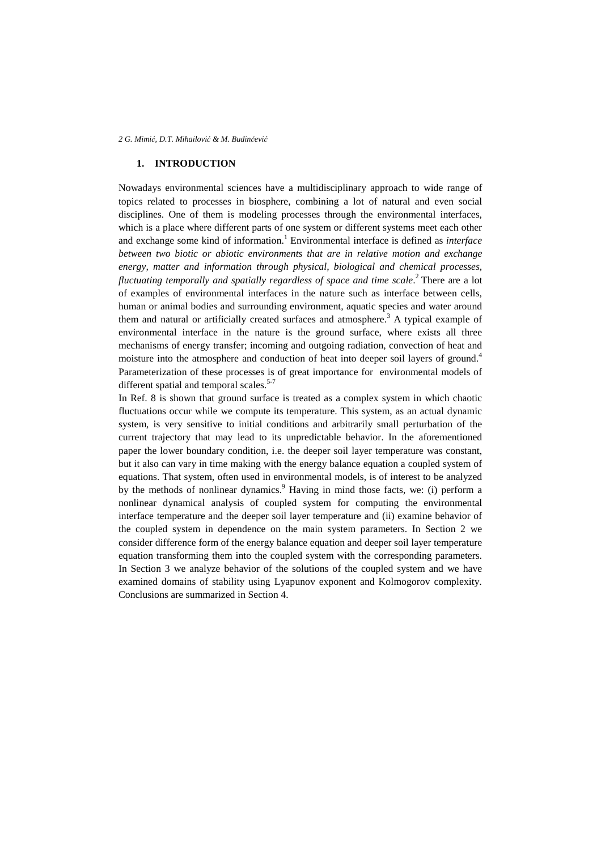## **1. INTRODUCTION**

Nowadays environmental sciences have a multidisciplinary approach to wide range of topics related to processes in biosphere, combining a lot of natural and even social disciplines. One of them is modeling processes through the environmental interfaces, which is a place where different parts of one system or different systems meet each other and exchange some kind of information.<sup>1</sup> Environmental interface is defined as *interface between two biotic or abiotic environments that are in relative motion and exchange energy, matter and information through physical, biological and chemical processes,*  fluctuating temporally and spatially regardless of space and time scale.<sup>2</sup> There are a lot of examples of environmental interfaces in the nature such as interface between cells, human or animal bodies and surrounding environment, aquatic species and water around them and natural or artificially created surfaces and atmosphere.<sup>3</sup> A typical example of environmental interface in the nature is the ground surface, where exists all three mechanisms of energy transfer; incoming and outgoing radiation, convection of heat and moisture into the atmosphere and conduction of heat into deeper soil layers of ground.<sup>4</sup> Parameterization of these processes is of great importance for environmental models of different spatial and temporal scales.<sup>5-7</sup>

In Ref. 8 is shown that ground surface is treated as a complex system in which chaotic fluctuations occur while we compute its temperature. This system, as an actual dynamic system, is very sensitive to initial conditions and arbitrarily small perturbation of the current trajectory that may lead to its unpredictable behavior. In the aforementioned paper the lower boundary condition, i.e. the deeper soil layer temperature was constant, but it also can vary in time making with the energy balance equation a coupled system of equations. That system, often used in environmental models, is of interest to be analyzed by the methods of nonlinear dynamics.<sup>9</sup> Having in mind those facts, we: (i) perform a nonlinear dynamical analysis of coupled system for computing the environmental interface temperature and the deeper soil layer temperature and (ii) examine behavior of the coupled system in dependence on the main system parameters. In Section 2 we consider difference form of the energy balance equation and deeper soil layer temperature equation transforming them into the coupled system with the corresponding parameters. In Section 3 we analyze behavior of the solutions of the coupled system and we have examined domains of stability using Lyapunov exponent and Kolmogorov complexity. Conclusions are summarized in Section 4.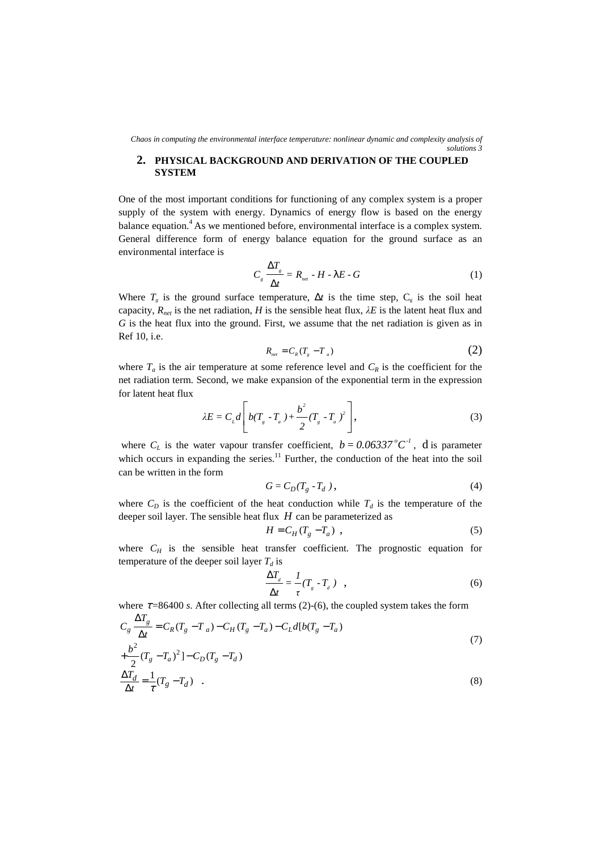*Chaos in computing the environmental interface temperature: nonlinear dynamic and complexity analysis of solutions 3* 

# **2. PHYSICAL BACKGROUND AND DERIVATION OF THE COUPLED SYSTEM**

One of the most important conditions for functioning of any complex system is a proper supply of the system with energy. Dynamics of energy flow is based on the energy balance equation.<sup>4</sup> As we mentioned before, environmental interface is a complex system. General difference form of energy balance equation for the ground surface as an environmental interface is

$$
C_{s} \frac{\Delta T_{s}}{\Delta t} = R_{_{net}} - H - \lambda E - G \tag{1}
$$

Where  $T_g$  is the ground surface temperature,  $\Delta t$  is the time step,  $C_g$  is the soil heat capacity,  $R_{net}$  is the net radiation, *H* is the sensible heat flux,  $\lambda E$  is the latent heat flux and *G* is the heat flux into the ground. First, we assume that the net radiation is given as in Ref 10, i.e.

$$
R_{\scriptscriptstyle{net}} = C_{\scriptscriptstyle{R}}(T_{\scriptscriptstyle{g}} - T_{\scriptscriptstyle{a}}) \tag{2}
$$

where  $T_a$  is the air temperature at some reference level and  $C_R$  is the coefficient for the net radiation term. Second, we make expansion of the exponential term in the expression for latent heat flux

$$
\lambda E = C_{L} d \left[ b(T_{g} - T_{a}) + \frac{b^{2}}{2} (T_{g} - T_{a})^{2} \right],
$$
\n(3)

where  $C_L$  is the water vapour transfer coefficient,  $b = 0.06337^{\circ}C^{-1}$ , d is parameter which occurs in expanding the series. $<sup>11</sup>$  Further, the conduction of the heat into the soil</sup> can be written in the form

$$
G = C_D(T_g - T_d) \,,\tag{4}
$$

where  $C_D$  is the coefficient of the heat conduction while  $T_d$  is the temperature of the deeper soil layer. The sensible heat flux *H* can be parameterized as

$$
H = C_H (T_g - T_a) \tag{5}
$$

where  $C_H$  is the sensible heat transfer coefficient. The prognostic equation for temperature of the deeper soil layer  $T_d$  is

$$
\frac{\Delta T_d}{\Delta t} = \frac{1}{\tau} (T_g - T_d) , \qquad (6)
$$

where  $\tau = 86400$  *s*. After collecting all terms (2)-(6), the coupled system takes the form

$$
C_{g} \frac{\Delta T_{g}}{\Delta t} = C_{R}(T_{g} - T_{a}) - C_{H}(T_{g} - T_{a}) - C_{L}d[b(T_{g} - T_{a})
$$
  
+
$$
\frac{b^{2}}{2}(T_{g} - T_{a})^{2}] - C_{D}(T_{g} - T_{d})
$$
  

$$
\frac{\Delta T_{d}}{\Delta t} = \frac{1}{\tau}(T_{g} - T_{d})
$$
 (8)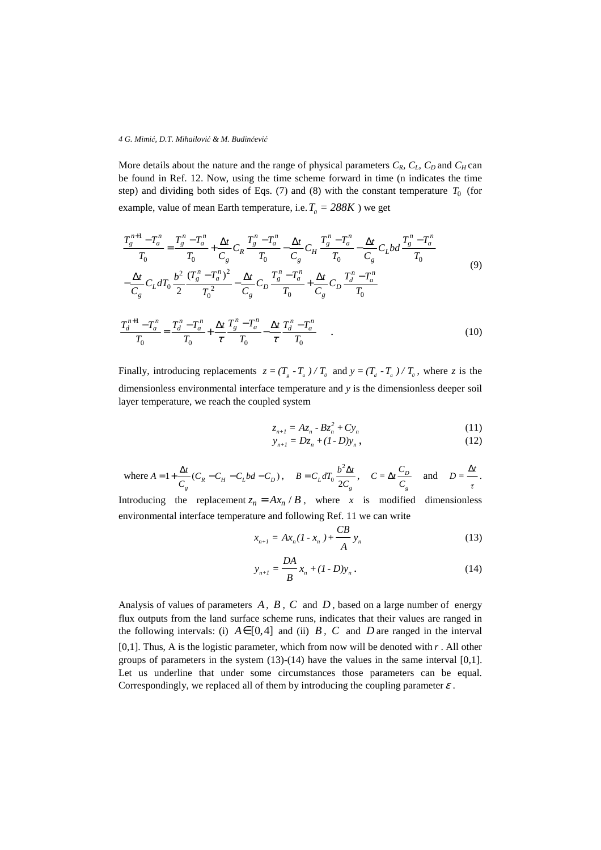More details about the nature and the range of physical parameters  $C_R$ ,  $C_L$ ,  $C_D$  and  $C_H$  can be found in Ref. 12. Now, using the time scheme forward in time (n indicates the time step) and dividing both sides of Eqs.  $(7)$  and  $(8)$  with the constant temperature  $T_0$  (for example, value of mean Earth temperature, i.e.  $T_0 = 288K$  ) we get

$$
\frac{T_g^{n+1} - T_a^n}{T_0} = \frac{T_g^n - T_a^n}{T_0} + \frac{\Delta t}{C_g} C_R \frac{T_g^n - T_a^n}{T_0} - \frac{\Delta t}{C_g} C_H \frac{T_g^n - T_a^n}{T_0} - \frac{\Delta t}{C_g} C_L b d \frac{T_g^n - T_a^n}{T_0}
$$
\n
$$
-\frac{\Delta t}{C_g} C_L d T_0 \frac{b^2}{2} \frac{(T_g^n - T_a^n)^2}{T_0^2} - \frac{\Delta t}{C_g} C_D \frac{T_g^n - T_a^n}{T_0} + \frac{\Delta t}{C_g} C_D \frac{T_a^n - T_a^n}{T_0}
$$
\n(9)

$$
\frac{T_d^{n+1} - T_a^n}{T_0} = \frac{T_d^n - T_a^n}{T_0} + \frac{\Delta t}{\tau} \frac{T_g^n - T_a^n}{T_0} - \frac{\Delta t}{\tau} \frac{T_d^n - T_a^n}{T_0} \tag{10}
$$

Finally, introducing replacements  $z = (T_a - T_a) / T_a$  and  $y = (T_a - T_a) / T_a$ , where *z* is the dimensionless environmental interface temperature and *y* is the dimensionless deeper soil layer temperature, we reach the coupled system

$$
z_{n+1} = Az_n - Bz_n^2 + Cy_n \tag{11}
$$

$$
y_{n+1} = Dz_n + (1 - D)y_n \,, \tag{12}
$$

where 
$$
A = 1 + \frac{\Delta t}{C_g}(C_R - C_H - C_Lbd - C_D)
$$
,  $B = C_L dT_0 \frac{b^2 \Delta t}{2C_g}$ ,  $C = \Delta t \frac{C_D}{C_g}$  and  $D = \frac{\Delta t}{\tau}$ .

Introducing the replacement  $z_n = Ax_n / B$ , where *x* is modified dimensionless environmental interface temperature and following Ref. 11 we can write

$$
x_{n+1} = Ax_n (1 - x_n) + \frac{CB}{A} y_n
$$
 (13)

$$
y_{n+1} = \frac{DA}{B} x_n + (I - D)y_n.
$$
 (14)

Analysis of values of parameters *A*, *B* , *C* and *D* , based on a large number of energy flux outputs from the land surface scheme runs, indicates that their values are ranged in the following intervals: (i)  $A \in [0,4]$  and (ii) *B*, *C* and *D* are ranged in the interval [0,1]. Thus, A is the logistic parameter, which from now will be denoted with *r* . All other groups of parameters in the system  $(13)-(14)$  have the values in the same interval  $[0,1]$ . Let us underline that under some circumstances those parameters can be equal. Correspondingly, we replaced all of them by introducing the coupling parameter  $\varepsilon$ .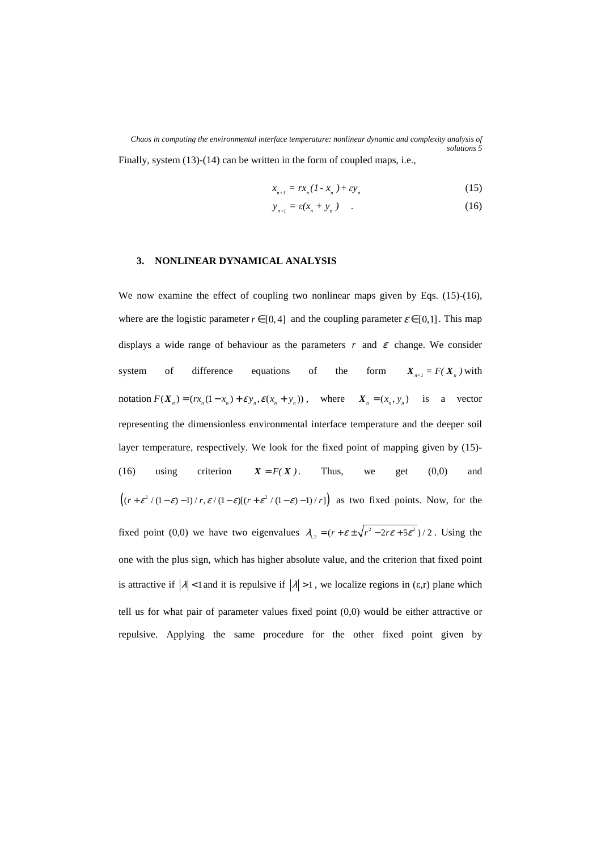*Chaos in computing the environmental interface temperature: nonlinear dynamic and complexity analysis of solutions 5*  Finally, system (13)-(14) can be written in the form of coupled maps, i.e.,

$$
x_{n+1} = rx_n(I - x_n) + \varepsilon y_n \tag{15}
$$

$$
y_{n+1} = \varepsilon (x_n + y_n) \qquad . \tag{16}
$$

## **3. NONLINEAR DYNAMICAL ANALYSIS**

We now examine the effect of coupling two nonlinear maps given by Eqs. (15)-(16), where are the logistic parameter  $r \in [0, 4]$  and the coupling parameter  $\varepsilon \in [0, 1]$ . This map displays a wide range of behaviour as the parameters  $r$  and  $\epsilon$  change. We consider system of difference equations of the form  $X_{n+1} = F(X_n)$  with notation  $F(X_n) = (rx_n(1-x_n) + \varepsilon y_n, \varepsilon (x_n + y_n))$ , where  $X_n = (x_n, y_n)$  is a vector representing the dimensionless environmental interface temperature and the deeper soil layer temperature, respectively. We look for the fixed point of mapping given by (15)- (16) using criterion  $X = F(X)$ . Thus, we get (0,0) and  $((r+\varepsilon^2/(1-\varepsilon)-1)/r,\varepsilon/(1-\varepsilon)[(r+\varepsilon^2/(1-\varepsilon)-1)/r])$  as two fixed points. Now, for the fixed point (0,0) we have two eigenvalues  $\lambda_{1,2} = (r + \varepsilon \pm \sqrt{r^2 - 2r\varepsilon + 5\varepsilon^2})/2$ . Using the one with the plus sign, which has higher absolute value, and the criterion that fixed point is attractive if  $|\lambda|$  < 1 and it is repulsive if  $|\lambda|$  > 1, we localize regions in (ε,r) plane which tell us for what pair of parameter values fixed point (0,0) would be either attractive or repulsive. Applying the same procedure for the other fixed point given by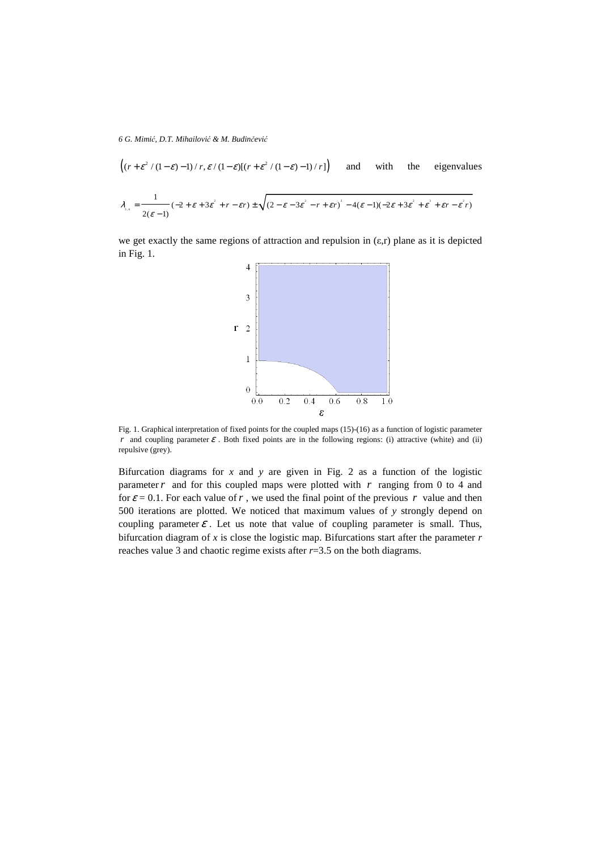$$
\left( (r + \varepsilon^2 / (1 - \varepsilon) - 1) / r, \varepsilon / (1 - \varepsilon) [(r + \varepsilon^2 / (1 - \varepsilon) - 1) / r] \right) \text{ and with the eigenvalues}
$$
\n
$$
\lambda_{\varepsilon, \varepsilon} = \frac{1}{2(\varepsilon - 1)} (-2 + \varepsilon + 3\varepsilon^2 + r - \varepsilon r) \pm \sqrt{(2 - \varepsilon - 3\varepsilon^2 - r + \varepsilon r)^2 - 4(\varepsilon - 1)(-2\varepsilon + 3\varepsilon^2 + \varepsilon^2 + \varepsilon r - \varepsilon^2 r)}
$$

we get exactly the same regions of attraction and repulsion in  $(\epsilon, r)$  plane as it is depicted in Fig. 1.



Fig. 1. Graphical interpretation of fixed points for the coupled maps (15)-(16) as a function of logistic parameter *r* and coupling parameter  $\varepsilon$ . Both fixed points are in the following regions: (i) attractive (white) and (ii) repulsive (grey).

Bifurcation diagrams for  $x$  and  $y$  are given in Fig. 2 as a function of the logistic parameter*r* and for this coupled maps were plotted with *r* ranging from 0 to 4 and for  $\varepsilon = 0.1$ . For each value of r, we used the final point of the previous r value and then 500 iterations are plotted. We noticed that maximum values of *y* strongly depend on coupling parameter  $\varepsilon$ . Let us note that value of coupling parameter is small. Thus, bifurcation diagram of *x* is close the logistic map. Bifurcations start after the parameter *r*  reaches value 3 and chaotic regime exists after *r*=3.5 on the both diagrams.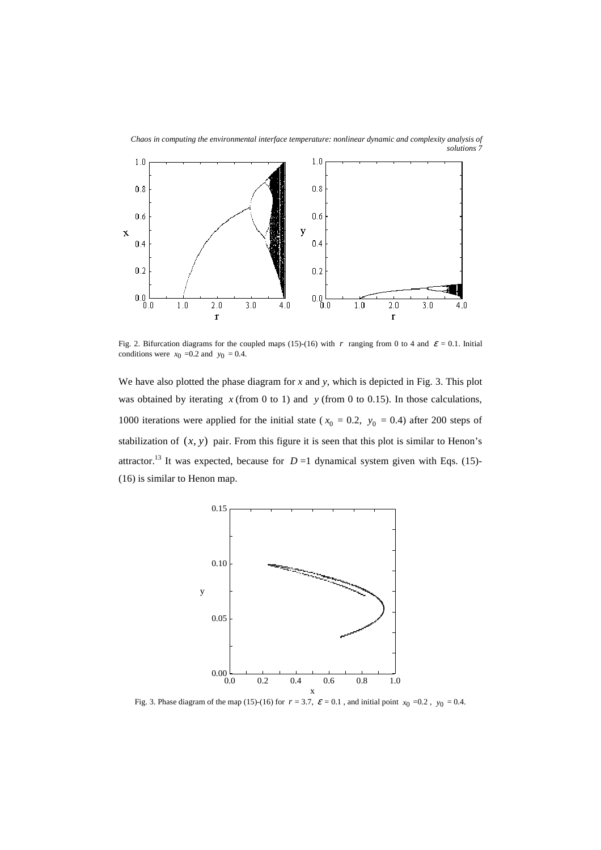

 $0.2$ 

 $0.0 -$ 

 $1.0$ 

 $2.0$ 

 $\mathbf r$ 

 $3.0$ 

 $4.0$ 

Fig. 2. Bifurcation diagrams for the coupled maps (15)-(16) with *r* ranging from 0 to 4 and  $\varepsilon = 0.1$ . Initial conditions were  $x_0 = 0.2$  and  $y_0 = 0.4$ .

 $4.0$ 

 $0.2$ 

 $\frac{1}{0.0}$ 

 $1.0$ 

 $2.0$ 

 $\mathbf{r}$ 

 $3.0$ 

We have also plotted the phase diagram for *x* and *y*, which is depicted in Fig. 3. This plot was obtained by iterating *x* (from 0 to 1) and *y* (from 0 to 0.15). In those calculations, 1000 iterations were applied for the initial state ( $x_0 = 0.2$ ,  $y_0 = 0.4$ ) after 200 steps of stabilization of  $(x, y)$  pair. From this figure it is seen that this plot is similar to Henon's attractor.<sup>13</sup> It was expected, because for  $D=1$  dynamical system given with Eqs. (15)-(16) is similar to Henon map.



Fig. 3. Phase diagram of the map (15)-(16) for  $r = 3.7$ ,  $\varepsilon = 0.1$ , and initial point  $x_0 = 0.2$ ,  $y_0 = 0.4$ .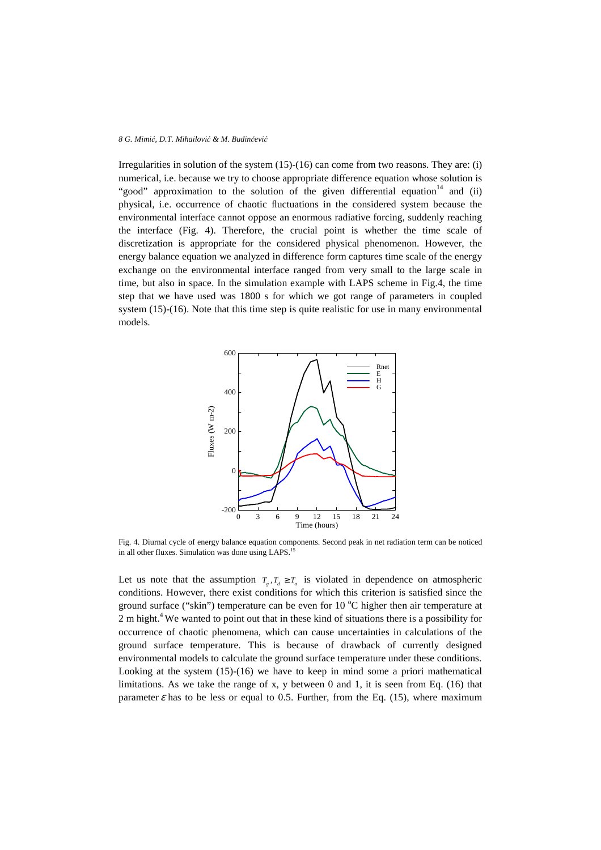Irregularities in solution of the system  $(15)-(16)$  can come from two reasons. They are: (i) numerical, i.e. because we try to choose appropriate difference equation whose solution is "good" approximation to the solution of the given differential equation<sup>14</sup> and (ii) physical, i.e. occurrence of chaotic fluctuations in the considered system because the environmental interface cannot oppose an enormous radiative forcing, suddenly reaching the interface (Fig. 4). Therefore, the crucial point is whether the time scale of discretization is appropriate for the considered physical phenomenon. However, the energy balance equation we analyzed in difference form captures time scale of the energy exchange on the environmental interface ranged from very small to the large scale in time, but also in space. In the simulation example with LAPS scheme in Fig.4, the time step that we have used was 1800 s for which we got range of parameters in coupled system (15)-(16). Note that this time step is quite realistic for use in many environmental models.



Fig. 4. Diurnal cycle of energy balance equation components. Second peak in net radiation term can be noticed in all other fluxes. Simulation was done using LAPS.<sup>15</sup>

Let us note that the assumption  $T_g$ ,  $T_d \geq T_a$  is violated in dependence on atmospheric conditions. However, there exist conditions for which this criterion is satisfied since the ground surface ("skin") temperature can be even for 10  $^{\circ}$ C higher then air temperature at 2 m hight.<sup>4</sup> We wanted to point out that in these kind of situations there is a possibility for occurrence of chaotic phenomena, which can cause uncertainties in calculations of the ground surface temperature. This is because of drawback of currently designed environmental models to calculate the ground surface temperature under these conditions. Looking at the system (15)-(16) we have to keep in mind some a priori mathematical limitations. As we take the range of x, y between 0 and 1, it is seen from Eq. (16) that parameter  $\varepsilon$  has to be less or equal to 0.5. Further, from the Eq. (15), where maximum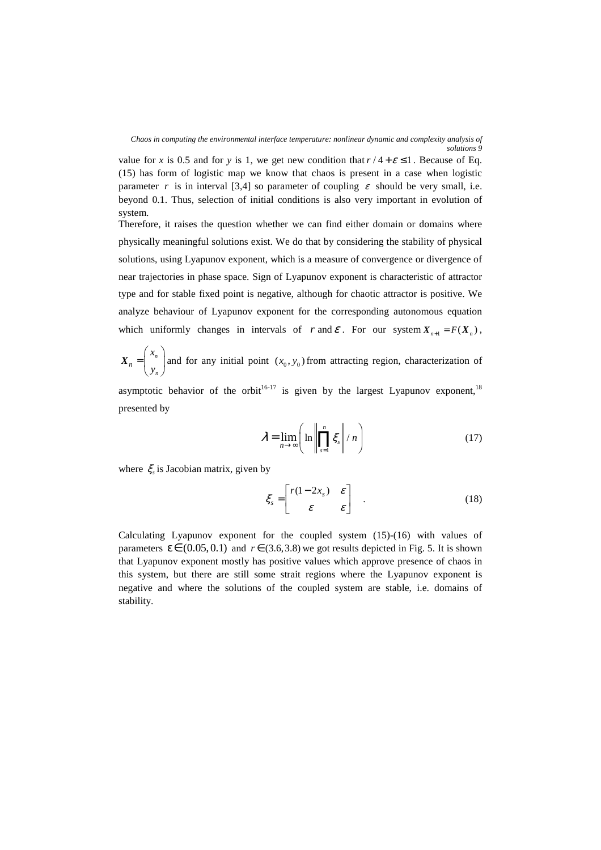*Chaos in computing the environmental interface temperature: nonlinear dynamic and complexity analysis of solutions 9* 

value for *x* is 0.5 and for *y* is 1, we get new condition that  $r/4 + \varepsilon \le 1$ . Because of Eq. (15) has form of logistic map we know that chaos is present in a case when logistic parameter *r* is in interval [3,4] so parameter of coupling  $\varepsilon$  should be very small, i.e. beyond 0.1. Thus, selection of initial conditions is also very important in evolution of system.

Therefore, it raises the question whether we can find either domain or domains where physically meaningful solutions exist. We do that by considering the stability of physical solutions, using Lyapunov exponent, which is a measure of convergence or divergence of near trajectories in phase space. Sign of Lyapunov exponent is characteristic of attractor type and for stable fixed point is negative, although for chaotic attractor is positive. We analyze behaviour of Lyapunov exponent for the corresponding autonomous equation which uniformly changes in intervals of *r* and  $\varepsilon$ . For our system  $X_{n+1} = F(X_n)$ ,

*n n n x y* =  $\begin{pmatrix} x_n \\ y_n \end{pmatrix}$  $X_n = \begin{bmatrix} n \\ n \end{bmatrix}$  and for any initial point  $(x_0, y_0)$  from attracting region, characterization of

asymptotic behavior of the orbit<sup>16-17</sup> is given by the largest Lyapunov exponent,<sup>18</sup> presented by

$$
\lambda = \lim_{n \to \infty} \left( \ln \left\| \prod_{s=1}^{n} \xi_s \right\| / n \right) \tag{17}
$$

where  $\xi$  is Jacobian matrix, given by

$$
\xi_s = \begin{bmatrix} r(1-2x_s) & \varepsilon \\ \varepsilon & \varepsilon \end{bmatrix} . \tag{18}
$$

Calculating Lyapunov exponent for the coupled system (15)-(16) with values of parameters  $\varepsilon \in (0.05, 0.1)$  and  $r \in (3.6, 3.8)$  we got results depicted in Fig. 5. It is shown that Lyapunov exponent mostly has positive values which approve presence of chaos in this system, but there are still some strait regions where the Lyapunov exponent is negative and where the solutions of the coupled system are stable, i.e. domains of stability.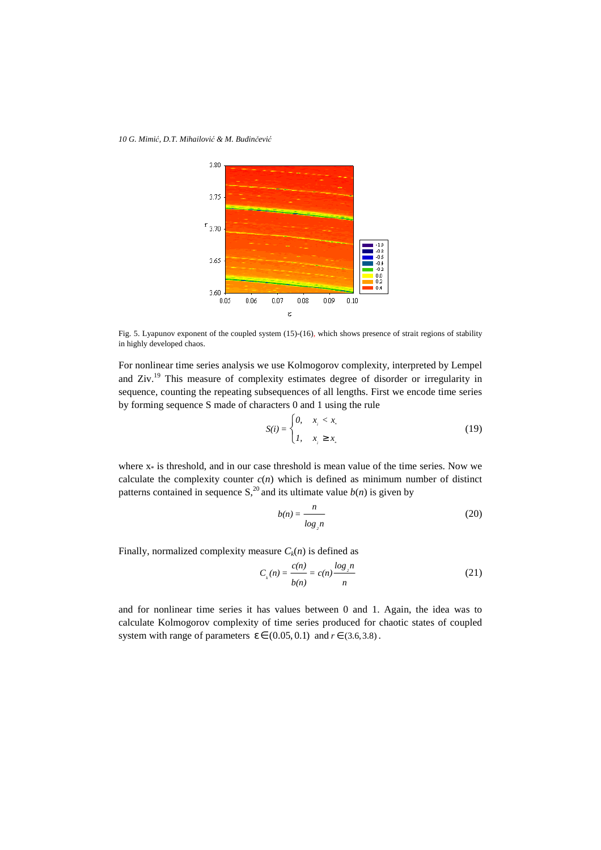*10 G. Mimi*ć*, D.T. Mihailovi*ć *& M. Budin*č*evi*ć



Fig. 5. Lyapunov exponent of the coupled system (15)-(16), which shows presence of strait regions of stability in highly developed chaos.

For nonlinear time series analysis we use Kolmogorov complexity, interpreted by Lempel and Ziv.<sup>19</sup> This measure of complexity estimates degree of disorder or irregularity in sequence, counting the repeating subsequences of all lengths. First we encode time series by forming sequence S made of characters 0 and 1 using the rule

$$
S(i) = \begin{cases} 0, & x_i < x_i \\ 1, & x_i \ge x_i \end{cases} \tag{19}
$$

where  $x*$  is threshold, and in our case threshold is mean value of the time series. Now we calculate the complexity counter  $c(n)$  which is defined as minimum number of distinct patterns contained in sequence  $S<sub>1</sub><sup>20</sup>$  and its ultimate value  $b(n)$  is given by

$$
b(n) = \frac{n}{\log_2 n} \tag{20}
$$

Finally, normalized complexity measure  $C_k(n)$  is defined as

$$
C_{k}(n) = \frac{c(n)}{b(n)} = c(n) \frac{\log_{2} n}{n}
$$
 (21)

and for nonlinear time series it has values between 0 and 1. Again, the idea was to calculate Kolmogorov complexity of time series produced for chaotic states of coupled system with range of parameters  $\varepsilon \in (0.05, 0.1)$  and  $r \in (3.6, 3.8)$ .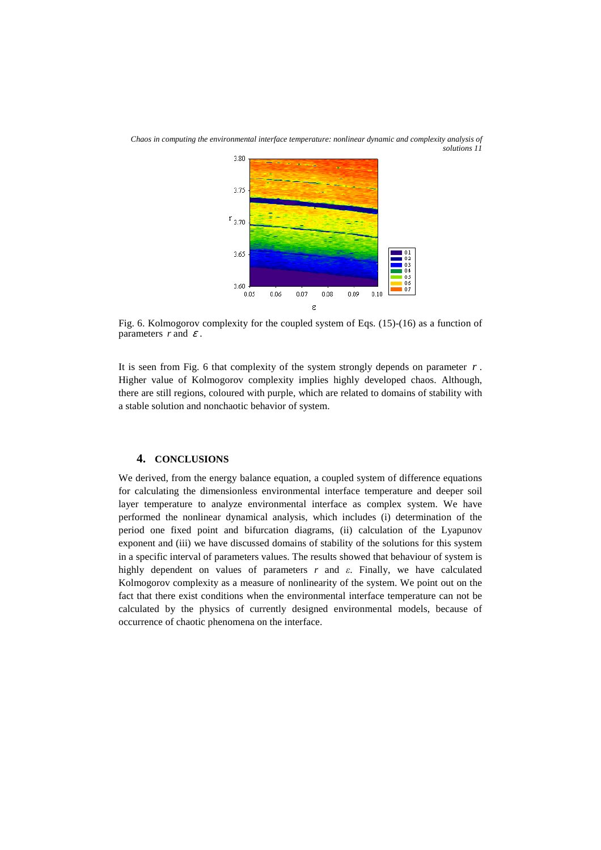

*Chaos in computing the environmental interface temperature: nonlinear dynamic and complexity analysis of solutions 11* 

Fig. 6. Kolmogorov complexity for the coupled system of Eqs. (15)-(16) as a function of parameters  $r$  and  $\varepsilon$ .

It is seen from Fig. 6 that complexity of the system strongly depends on parameter  $r$ . Higher value of Kolmogorov complexity implies highly developed chaos. Although, there are still regions, coloured with purple, which are related to domains of stability with a stable solution and nonchaotic behavior of system.

# **4. CONCLUSIONS**

We derived, from the energy balance equation, a coupled system of difference equations for calculating the dimensionless environmental interface temperature and deeper soil layer temperature to analyze environmental interface as complex system. We have performed the nonlinear dynamical analysis, which includes (i) determination of the period one fixed point and bifurcation diagrams, (ii) calculation of the Lyapunov exponent and (iii) we have discussed domains of stability of the solutions for this system in a specific interval of parameters values. The results showed that behaviour of system is highly dependent on values of parameters  $r$  and  $\varepsilon$ . Finally, we have calculated Kolmogorov complexity as a measure of nonlinearity of the system. We point out on the fact that there exist conditions when the environmental interface temperature can not be calculated by the physics of currently designed environmental models, because of occurrence of chaotic phenomena on the interface.